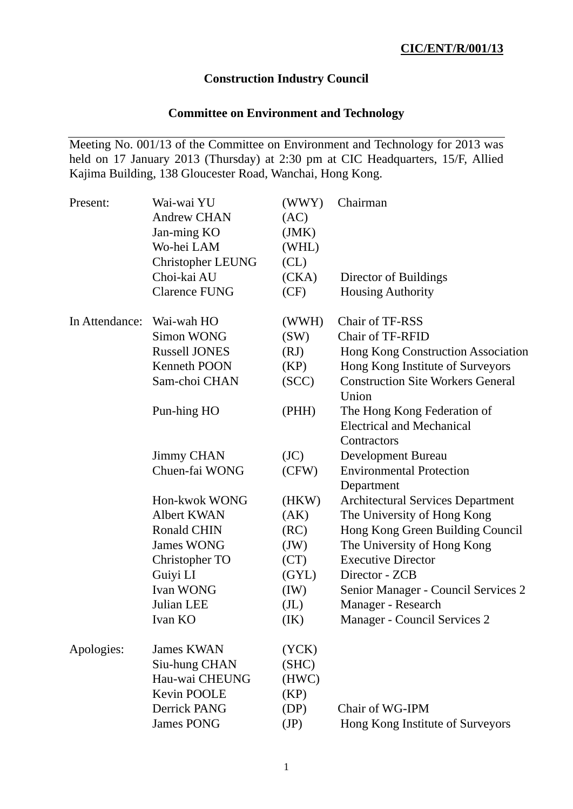# **Construction Industry Council**

# **Committee on Environment and Technology**

Meeting No. 001/13 of the Committee on Environment and Technology for 2013 was held on 17 January 2013 (Thursday) at 2:30 pm at CIC Headquarters, 15/F, Allied Kajima Building, 138 Gloucester Road, Wanchai, Hong Kong.

| Present:       | Wai-wai YU<br><b>Andrew CHAN</b><br>Jan-ming KO<br>Wo-hei LAM | (WWY)<br>(AC)<br>(JMK)<br>(WHL)<br>CL) | Chairman                                                                       |
|----------------|---------------------------------------------------------------|----------------------------------------|--------------------------------------------------------------------------------|
|                | Christopher LEUNG<br>Choi-kai AU                              | (CKA)                                  | Director of Buildings                                                          |
|                | <b>Clarence FUNG</b>                                          | (CF)                                   | <b>Housing Authority</b>                                                       |
| In Attendance: | Wai-wah HO                                                    | (WWH)                                  | Chair of TF-RSS                                                                |
|                | <b>Simon WONG</b>                                             | (SW)                                   | Chair of TF-RFID                                                               |
|                | <b>Russell JONES</b>                                          | (RJ)                                   | Hong Kong Construction Association                                             |
|                | Kenneth POON                                                  | (KP)                                   | Hong Kong Institute of Surveyors                                               |
|                | Sam-choi CHAN                                                 | (SCC)                                  | <b>Construction Site Workers General</b><br>Union                              |
|                | Pun-hing HO                                                   | (PHH)                                  | The Hong Kong Federation of<br><b>Electrical and Mechanical</b><br>Contractors |
|                | <b>Jimmy CHAN</b>                                             | (JC)                                   | Development Bureau                                                             |
|                | Chuen-fai WONG                                                | (CFW)                                  | <b>Environmental Protection</b><br>Department                                  |
|                | Hon-kwok WONG                                                 | (HKW)                                  | <b>Architectural Services Department</b>                                       |
|                | <b>Albert KWAN</b>                                            | (AK)                                   | The University of Hong Kong                                                    |
|                | <b>Ronald CHIN</b>                                            | (RC)                                   | Hong Kong Green Building Council                                               |
|                | <b>James WONG</b>                                             | (JW)                                   | The University of Hong Kong                                                    |
|                | Christopher TO                                                | (CT)                                   | <b>Executive Director</b>                                                      |
|                | Guiyi LI                                                      | (GYL)                                  | Director - ZCB                                                                 |
|                | Ivan WONG                                                     | (IW)                                   | Senior Manager - Council Services 2                                            |
|                | Julian LEE                                                    | (J <sub>L</sub> )                      | Manager - Research                                                             |
|                | Ivan KO                                                       | (IK)                                   | Manager - Council Services 2                                                   |
| Apologies:     | <b>James KWAN</b>                                             | (YCK)                                  |                                                                                |
|                | Siu-hung CHAN                                                 | (SHC)                                  |                                                                                |
|                | Hau-wai CHEUNG                                                | (HWC)                                  |                                                                                |
|                | Kevin POOLE                                                   | (KP)                                   |                                                                                |
|                | Derrick PANG                                                  | (DP)                                   | Chair of WG-IPM                                                                |
|                | <b>James PONG</b>                                             | (JP)                                   | Hong Kong Institute of Surveyors                                               |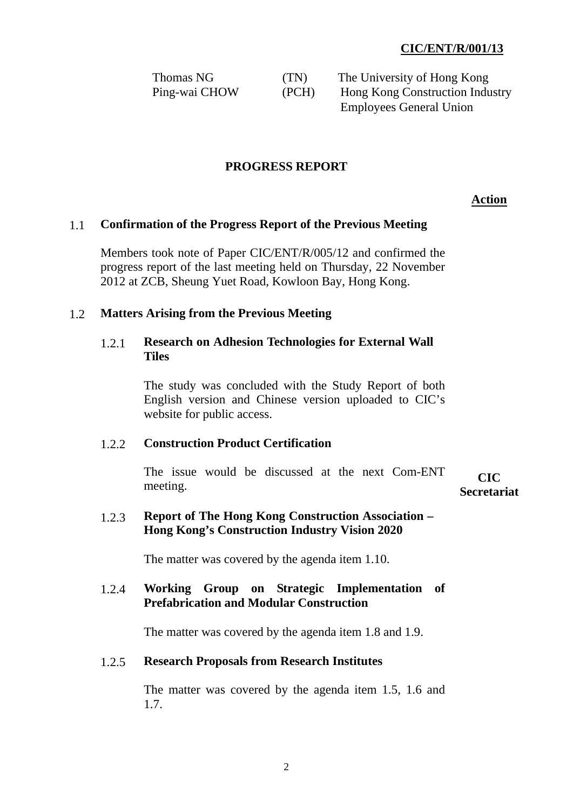| Thomas NG     | (TN)  | The University of Hong Kong     |
|---------------|-------|---------------------------------|
| Ping-wai CHOW | (PCH) | Hong Kong Construction Industry |
|               |       | <b>Employees General Union</b>  |

## **PROGRESS REPORT**

**Action**

#### 1.1 **Confirmation of the Progress Report of the Previous Meeting**

Members took note of Paper CIC/ENT/R/005/12 and confirmed the progress report of the last meeting held on Thursday, 22 November 2012 at ZCB, Sheung Yuet Road, Kowloon Bay, Hong Kong.

#### 1.2 **Matters Arising from the Previous Meeting**

## 1.2.1 **Research on Adhesion Technologies for External Wall Tiles**

The study was concluded with the Study Report of both English version and Chinese version uploaded to CIC's website for public access.

#### 1.2.2 **Construction Product Certification**

The issue would be discussed at the next Com-ENT CIC meeting.

# **Secretariat**

## 1.2.3 **Report of The Hong Kong Construction Association – Hong Kong's Construction Industry Vision 2020**

The matter was covered by the agenda item 1.10.

## 1.2.4 **Working Group on Strategic Implementation of Prefabrication and Modular Construction**

The matter was covered by the agenda item 1.8 and 1.9.

#### 1.2.5 **Research Proposals from Research Institutes**

The matter was covered by the agenda item 1.5, 1.6 and 1.7.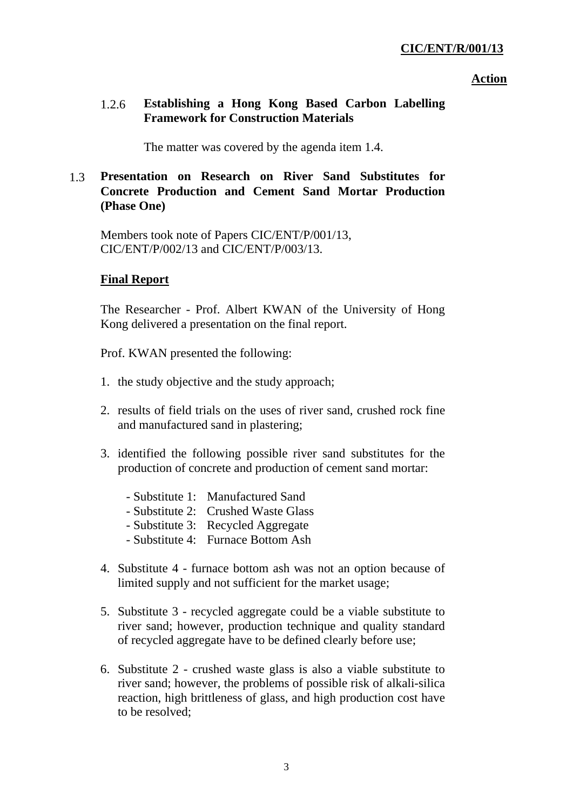#### **Action**

# 1.2.6 **Establishing a Hong Kong Based Carbon Labelling Framework for Construction Materials**

The matter was covered by the agenda item 1.4.

# 1.3 **Presentation on Research on River Sand Substitutes for Concrete Production and Cement Sand Mortar Production (Phase One)**

Members took note of Papers CIC/ENT/P/001/13, CIC/ENT/P/002/13 and CIC/ENT/P/003/13.

## **Final Report**

The Researcher - Prof. Albert KWAN of the University of Hong Kong delivered a presentation on the final report.

Prof. KWAN presented the following:

- 1. the study objective and the study approach;
- 2. results of field trials on the uses of river sand, crushed rock fine and manufactured sand in plastering;
- 3. identified the following possible river sand substitutes for the production of concrete and production of cement sand mortar:
	- Substitute 1: Manufactured Sand
	- Substitute 2: Crushed Waste Glass
	- Substitute 3: Recycled Aggregate
	- Substitute 4: Furnace Bottom Ash
- 4. Substitute 4 furnace bottom ash was not an option because of limited supply and not sufficient for the market usage;
- 5. Substitute 3 recycled aggregate could be a viable substitute to river sand; however, production technique and quality standard of recycled aggregate have to be defined clearly before use;
- 6. Substitute 2 crushed waste glass is also a viable substitute to river sand; however, the problems of possible risk of alkali-silica reaction, high brittleness of glass, and high production cost have to be resolved;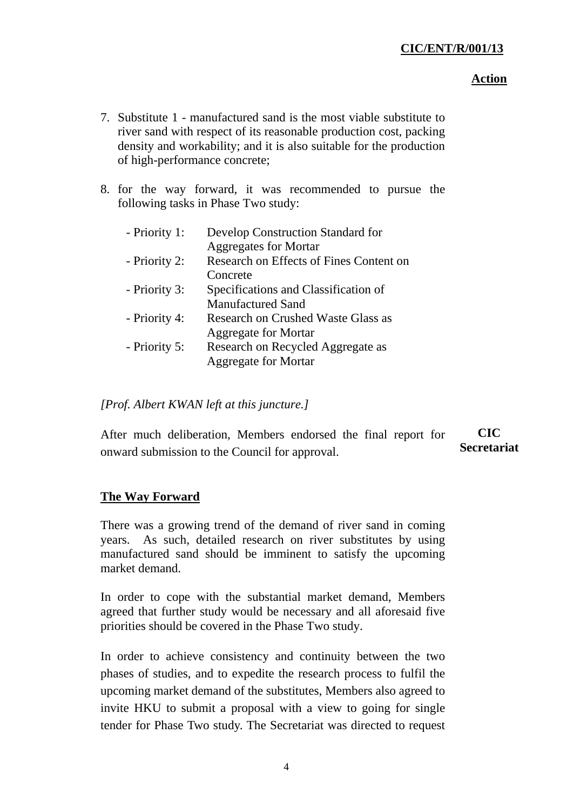## **Action**

- 7. Substitute 1 manufactured sand is the most viable substitute to river sand with respect of its reasonable production cost, packing density and workability; and it is also suitable for the production of high-performance concrete;
- 8. for the way forward, it was recommended to pursue the following tasks in Phase Two study:

| - Priority 1: | Develop Construction Standard for         |
|---------------|-------------------------------------------|
|               | <b>Aggregates for Mortar</b>              |
| - Priority 2: | Research on Effects of Fines Content on   |
|               | Concrete                                  |
| - Priority 3: | Specifications and Classification of      |
|               | <b>Manufactured Sand</b>                  |
| - Priority 4: | <b>Research on Crushed Waste Glass as</b> |
|               | <b>Aggregate for Mortar</b>               |
| - Priority 5: | Research on Recycled Aggregate as         |
|               | <b>Aggregate for Mortar</b>               |
|               |                                           |

# *[Prof. Albert KWAN left at this juncture.]*

After much deliberation, Members endorsed the final report for onward submission to the Council for approval. **CIC Secretariat** 

# **The Way Forward**

There was a growing trend of the demand of river sand in coming years. As such, detailed research on river substitutes by using manufactured sand should be imminent to satisfy the upcoming market demand.

In order to cope with the substantial market demand, Members agreed that further study would be necessary and all aforesaid five priorities should be covered in the Phase Two study.

In order to achieve consistency and continuity between the two phases of studies, and to expedite the research process to fulfil the upcoming market demand of the substitutes, Members also agreed to invite HKU to submit a proposal with a view to going for single tender for Phase Two study. The Secretariat was directed to request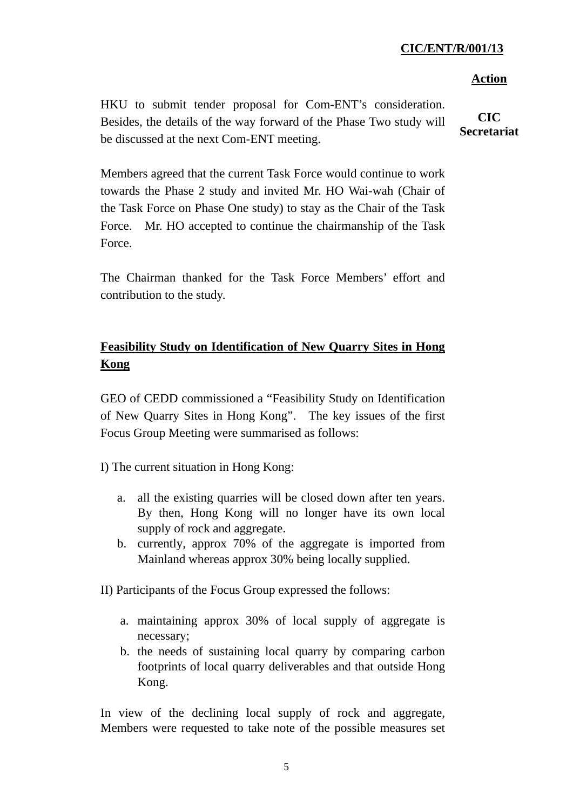#### **Action**

HKU to submit tender proposal for Com-ENT's consideration. Besides, the details of the way forward of the Phase Two study will be discussed at the next Com-ENT meeting.

**CIC Secretariat** 

Members agreed that the current Task Force would continue to work towards the Phase 2 study and invited Mr. HO Wai-wah (Chair of the Task Force on Phase One study) to stay as the Chair of the Task Force. Mr. HO accepted to continue the chairmanship of the Task Force.

The Chairman thanked for the Task Force Members' effort and contribution to the study.

# **Feasibility Study on Identification of New Quarry Sites in Hong Kong**

GEO of CEDD commissioned a "Feasibility Study on Identification of New Quarry Sites in Hong Kong". The key issues of the first Focus Group Meeting were summarised as follows:

I) The current situation in Hong Kong:

- a. all the existing quarries will be closed down after ten years. By then, Hong Kong will no longer have its own local supply of rock and aggregate.
- b. currently, approx 70% of the aggregate is imported from Mainland whereas approx 30% being locally supplied.

II) Participants of the Focus Group expressed the follows:

- a. maintaining approx 30% of local supply of aggregate is necessary;
- b. the needs of sustaining local quarry by comparing carbon footprints of local quarry deliverables and that outside Hong Kong.

In view of the declining local supply of rock and aggregate, Members were requested to take note of the possible measures set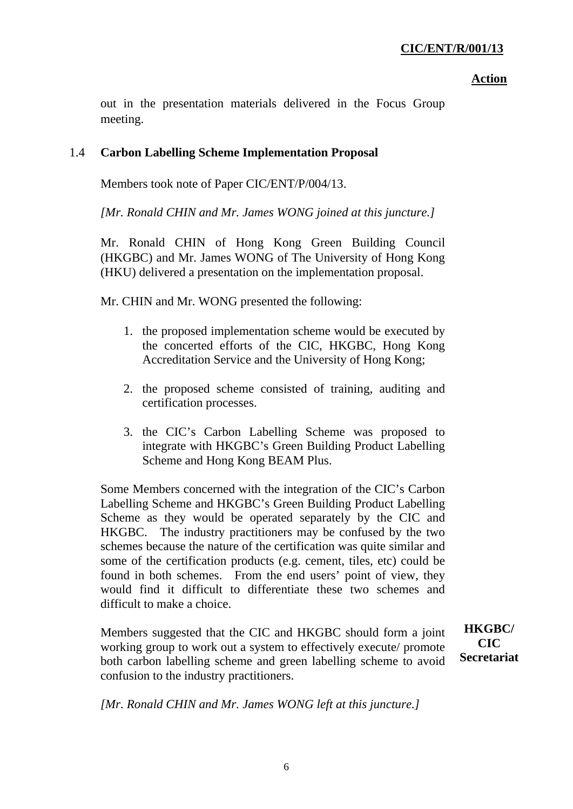## **Action**

out in the presentation materials delivered in the Focus Group meeting.

# 1.4 **Carbon Labelling Scheme Implementation Proposal**

Members took note of Paper CIC/ENT/P/004/13.

*[Mr. Ronald CHIN and Mr. James WONG joined at this juncture.]* 

Mr. Ronald CHIN of Hong Kong Green Building Council (HKGBC) and Mr. James WONG of The University of Hong Kong (HKU) delivered a presentation on the implementation proposal.

Mr. CHIN and Mr. WONG presented the following:

- 1. the proposed implementation scheme would be executed by the concerted efforts of the CIC, HKGBC, Hong Kong Accreditation Service and the University of Hong Kong;
- 2. the proposed scheme consisted of training, auditing and certification processes.
- 3. the CIC's Carbon Labelling Scheme was proposed to integrate with HKGBC's Green Building Product Labelling Scheme and Hong Kong BEAM Plus.

Some Members concerned with the integration of the CIC's Carbon Labelling Scheme and HKGBC's Green Building Product Labelling Scheme as they would be operated separately by the CIC and HKGBC. The industry practitioners may be confused by the two schemes because the nature of the certification was quite similar and some of the certification products (e.g. cement, tiles, etc) could be found in both schemes. From the end users' point of view, they would find it difficult to differentiate these two schemes and difficult to make a choice.

Members suggested that the CIC and HKGBC should form a joint working group to work out a system to effectively execute/ promote both carbon labelling scheme and green labelling scheme to avoid confusion to the industry practitioners.

**HKGBC/ CIC Secretariat** 

*[Mr. Ronald CHIN and Mr. James WONG left at this juncture.]*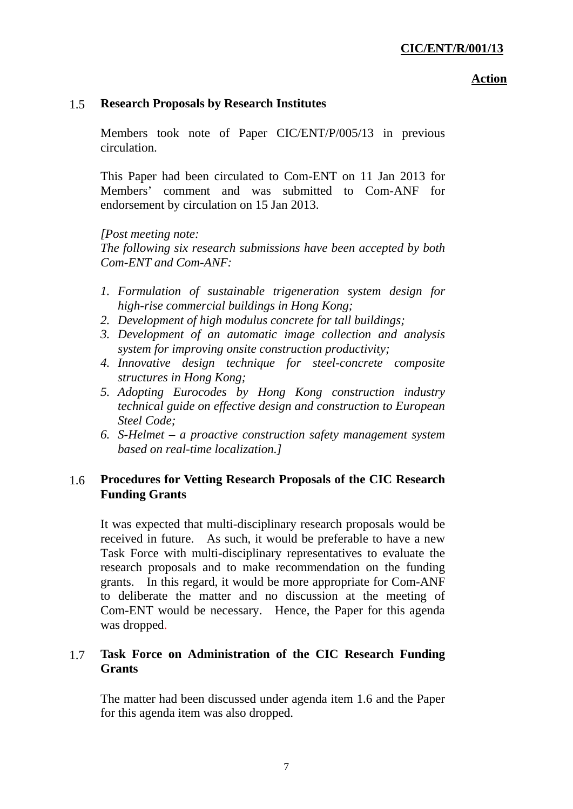#### **Action**

## 1.5 **Research Proposals by Research Institutes**

Members took note of Paper CIC/ENT/P/005/13 in previous circulation.

This Paper had been circulated to Com-ENT on 11 Jan 2013 for Members' comment and was submitted to Com-ANF for endorsement by circulation on 15 Jan 2013.

*[Post meeting note:* 

*The following six research submissions have been accepted by both Com-ENT and Com-ANF:* 

- *1. Formulation of sustainable trigeneration system design for high-rise commercial buildings in Hong Kong;*
- *2. Development of high modulus concrete for tall buildings;*
- *3. Development of an automatic image collection and analysis system for improving onsite construction productivity;*
- *4. Innovative design technique for steel-concrete composite structures in Hong Kong;*
- *5. Adopting Eurocodes by Hong Kong construction industry technical guide on effective design and construction to European Steel Code;*
- *6. S-Helmet a proactive construction safety management system based on real-time localization.]*

# 1.6 **Procedures for Vetting Research Proposals of the CIC Research Funding Grants**

It was expected that multi-disciplinary research proposals would be received in future. As such, it would be preferable to have a new Task Force with multi-disciplinary representatives to evaluate the research proposals and to make recommendation on the funding grants. In this regard, it would be more appropriate for Com-ANF to deliberate the matter and no discussion at the meeting of Com-ENT would be necessary. Hence, the Paper for this agenda was dropped.

# 1.7 **Task Force on Administration of the CIC Research Funding Grants**

The matter had been discussed under agenda item 1.6 and the Paper for this agenda item was also dropped.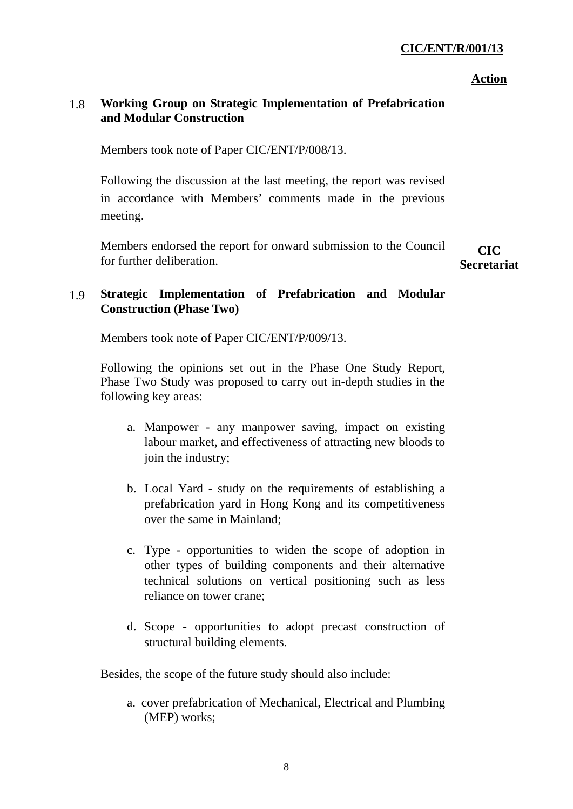#### **Action**

# 1.8 **Working Group on Strategic Implementation of Prefabrication and Modular Construction**

Members took note of Paper CIC/ENT/P/008/13.

Following the discussion at the last meeting, the report was revised in accordance with Members' comments made in the previous meeting.

Members endorsed the report for onward submission to the Council for further deliberation.

**CIC Secretariat** 

# 1.9 **Strategic Implementation of Prefabrication and Modular Construction (Phase Two)**

Members took note of Paper CIC/ENT/P/009/13.

Following the opinions set out in the Phase One Study Report, Phase Two Study was proposed to carry out in-depth studies in the following key areas:

- a. Manpower any manpower saving, impact on existing labour market, and effectiveness of attracting new bloods to join the industry;
- b. Local Yard study on the requirements of establishing a prefabrication yard in Hong Kong and its competitiveness over the same in Mainland;
- c. Type opportunities to widen the scope of adoption in other types of building components and their alternative technical solutions on vertical positioning such as less reliance on tower crane;
- d. Scope opportunities to adopt precast construction of structural building elements.

Besides, the scope of the future study should also include:

a. cover prefabrication of Mechanical, Electrical and Plumbing (MEP) works;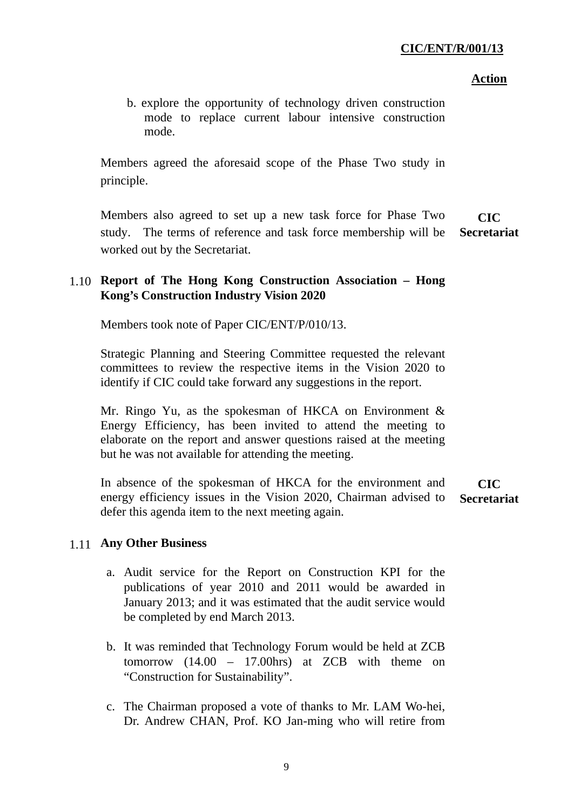## **Action**

b. explore the opportunity of technology driven construction mode to replace current labour intensive construction mode.

Members agreed the aforesaid scope of the Phase Two study in principle.

Members also agreed to set up a new task force for Phase Two study. The terms of reference and task force membership will be worked out by the Secretariat. **CIC Secretariat** 

# 1.10 **Report of The Hong Kong Construction Association – Hong Kong's Construction Industry Vision 2020**

Members took note of Paper CIC/ENT/P/010/13.

Strategic Planning and Steering Committee requested the relevant committees to review the respective items in the Vision 2020 to identify if CIC could take forward any suggestions in the report.

Mr. Ringo Yu, as the spokesman of HKCA on Environment & Energy Efficiency, has been invited to attend the meeting to elaborate on the report and answer questions raised at the meeting but he was not available for attending the meeting.

In absence of the spokesman of HKCA for the environment and energy efficiency issues in the Vision 2020, Chairman advised to defer this agenda item to the next meeting again. **CIC Secretariat** 

# 1.11 **Any Other Business**

- a. Audit service for the Report on Construction KPI for the publications of year 2010 and 2011 would be awarded in January 2013; and it was estimated that the audit service would be completed by end March 2013.
- b. It was reminded that Technology Forum would be held at ZCB tomorrow (14.00 – 17.00hrs) at ZCB with theme on "Construction for Sustainability".
- c. The Chairman proposed a vote of thanks to Mr. LAM Wo-hei, Dr. Andrew CHAN, Prof. KO Jan-ming who will retire from